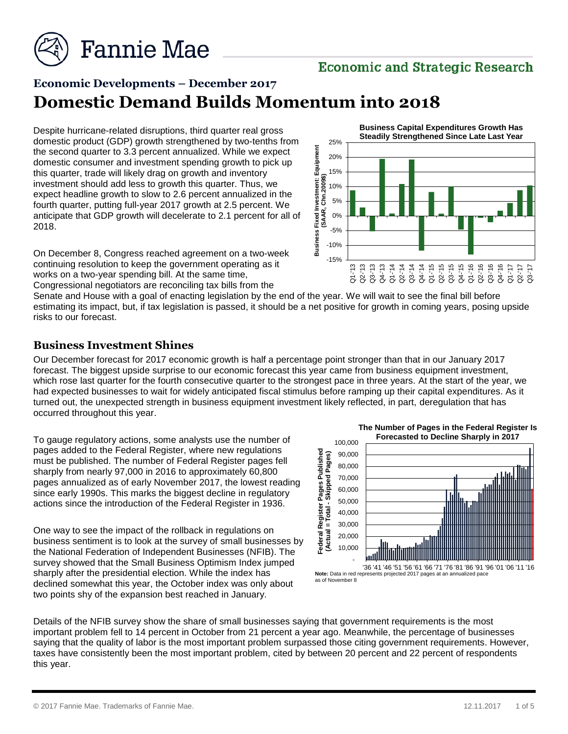

### **Economic and Strategic Research**

## **Economic Developments – December 2017 Domestic Demand Builds Momentum into 2018**

Despite hurricane-related disruptions, third quarter real gross domestic product (GDP) growth strengthened by two-tenths from the second quarter to 3.3 percent annualized. While we expect domestic consumer and investment spending growth to pick up this quarter, trade will likely drag on growth and inventory investment should add less to growth this quarter. Thus, we expect headline growth to slow to 2.6 percent annualized in the fourth quarter, putting full-year 2017 growth at 2.5 percent. We anticipate that GDP growth will decelerate to 2.1 percent for all of 2018.

On December 8, Congress reached agreement on a two-week continuing resolution to keep the government operating as it works on a two-year spending bill. At the same time, Congressional negotiators are reconciling tax bills from the

-15% -10% -5% 0% 5% 10% 15% 20% 25% **Business Fixed Musesment:** Equipment<br> **Business Fixed MAR, Chn.2009\$)**<br>
G2-13 Q3-'13 Q3-'15 Q2-'15 Q2-'15 Q2-'15 Q2-'15 Q2-'15 Q2-'15 Q2-'15 Q2-'15 Q2-'15 Q2-'15 Q2-'15 Q2-'15 Q2-'15 Q2-'15 Q2-'15 Q2-'15 Q2-'15 Q2-'15 Q2-**Business Capital Expenditures Growth Has Steadily Strengthened Since Late Last Year**

Senate and House with a goal of enacting legislation by the end of the year. We will wait to see the final bill before estimating its impact, but, if tax legislation is passed, it should be a net positive for growth in coming years, posing upside risks to our forecast.

#### **Business Investment Shines**

Our December forecast for 2017 economic growth is half a percentage point stronger than that in our January 2017 forecast. The biggest upside surprise to our economic forecast this year came from business equipment investment, which rose last quarter for the fourth consecutive quarter to the strongest pace in three years. At the start of the year, we had expected businesses to wait for widely anticipated fiscal stimulus before ramping up their capital expenditures. As it turned out, the unexpected strength in business equipment investment likely reflected, in part, deregulation that has occurred throughout this year.

To gauge regulatory actions, some analysts use the number of pages added to the Federal Register, where new regulations must be published. The number of Federal Register pages fell sharply from nearly 97,000 in 2016 to approximately 60,800 pages annualized as of early November 2017, the lowest reading since early 1990s. This marks the biggest decline in regulatory actions since the introduction of the Federal Register in 1936.

One way to see the impact of the rollback in regulations on business sentiment is to look at the survey of small businesses by the National Federation of Independent Businesses (NFIB). The survey showed that the Small Business Optimism Index jumped sharply after the presidential election. While the index has declined somewhat this year, the October index was only about two points shy of the expansion best reached in January.



Details of the NFIB survey show the share of small businesses saying that government requirements is the most important problem fell to 14 percent in October from 21 percent a year ago. Meanwhile, the percentage of businesses saying that the quality of labor is the most important problem surpassed those citing government requirements. However, taxes have consistently been the most important problem, cited by between 20 percent and 22 percent of respondents this year.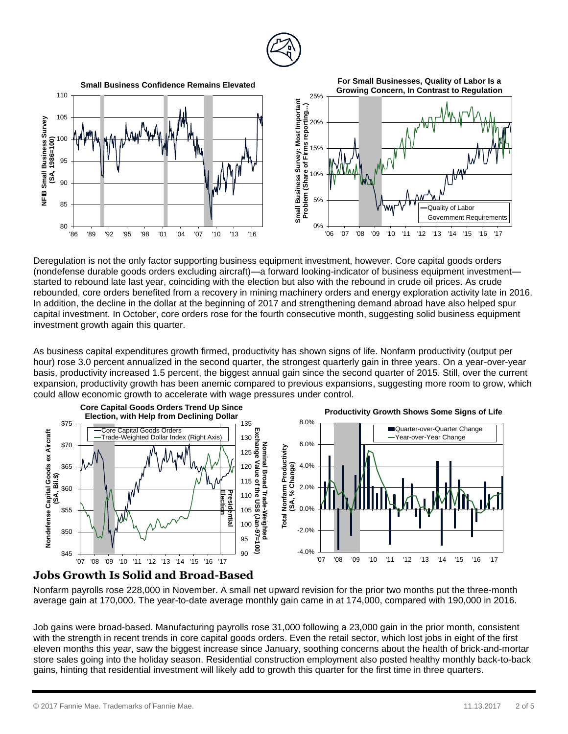



Deregulation is not the only factor supporting business equipment investment, however. Core capital goods orders (nondefense durable goods orders excluding aircraft)—a forward looking-indicator of business equipment investment started to rebound late last year, coinciding with the election but also with the rebound in crude oil prices. As crude rebounded, core orders benefited from a recovery in mining machinery orders and energy exploration activity late in 2016. In addition, the decline in the dollar at the beginning of 2017 and strengthening demand abroad have also helped spur capital investment. In October, core orders rose for the fourth consecutive month, suggesting solid business equipment investment growth again this quarter.

As business capital expenditures growth firmed, productivity has shown signs of life. Nonfarm productivity (output per hour) rose 3.0 percent annualized in the second quarter, the strongest quarterly gain in three years. On a year-over-year basis, productivity increased 1.5 percent, the biggest annual gain since the second quarter of 2015. Still, over the current expansion, productivity growth has been anemic compared to previous expansions, suggesting more room to grow, which could allow economic growth to accelerate with wage pressures under control.



#### **Jobs Growth Is Solid and Broad-Based**

Nonfarm payrolls rose 228,000 in November. A small net upward revision for the prior two months put the three-month average gain at 170,000. The year-to-date average monthly gain came in at 174,000, compared with 190,000 in 2016.

Job gains were broad-based. Manufacturing payrolls rose 31,000 following a 23,000 gain in the prior month, consistent with the strength in recent trends in core capital goods orders. Even the retail sector, which lost jobs in eight of the first eleven months this year, saw the biggest increase since January, soothing concerns about the health of brick-and-mortar store sales going into the holiday season. Residential construction employment also posted healthy monthly back-to-back gains, hinting that residential investment will likely add to growth this quarter for the first time in three quarters.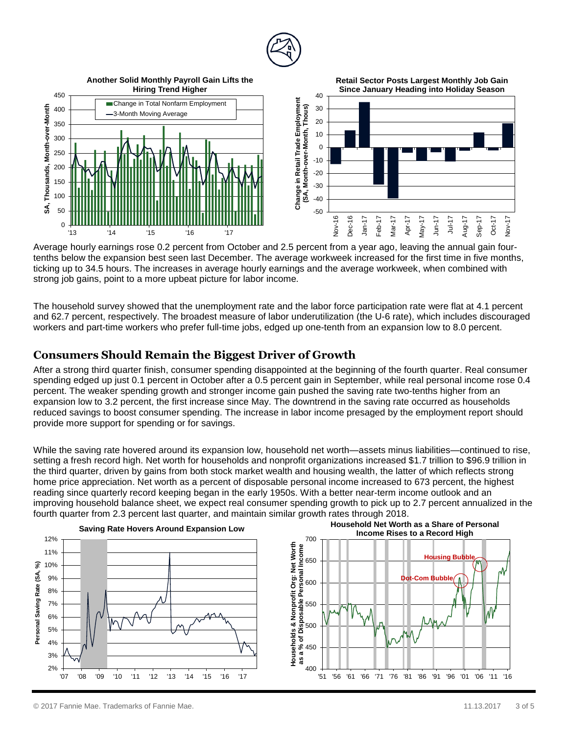

Average hourly earnings rose 0.2 percent from October and 2.5 percent from a year ago, leaving the annual gain fourtenths below the expansion best seen last December. The average workweek increased for the first time in five months, ticking up to 34.5 hours. The increases in average hourly earnings and the average workweek, when combined with strong job gains, point to a more upbeat picture for labor income*.*

The household survey showed that the unemployment rate and the labor force participation rate were flat at 4.1 percent and 62.7 percent, respectively. The broadest measure of labor underutilization (the U-6 rate), which includes discouraged workers and part-time workers who prefer full-time jobs, edged up one-tenth from an expansion low to 8.0 percent.

#### **Consumers Should Remain the Biggest Driver of Growth**

After a strong third quarter finish, consumer spending disappointed at the beginning of the fourth quarter. Real consumer spending edged up just 0.1 percent in October after a 0.5 percent gain in September, while real personal income rose 0.4 percent. The weaker spending growth and stronger income gain pushed the saving rate two-tenths higher from an expansion low to 3.2 percent, the first increase since May. The downtrend in the saving rate occurred as households reduced savings to boost consumer spending. The increase in labor income presaged by the employment report should provide more support for spending or for savings.

While the saving rate hovered around its expansion low, household net worth—assets minus liabilities—continued to rise, setting a fresh record high. Net worth for households and nonprofit organizations increased \$1.7 trillion to \$96.9 trillion in the third quarter, driven by gains from both stock market wealth and housing wealth, the latter of which reflects strong home price appreciation. Net worth as a percent of disposable personal income increased to 673 percent, the highest reading since quarterly record keeping began in the early 1950s. With a better near-term income outlook and an improving household balance sheet, we expect real consumer spending growth to pick up to 2.7 percent annualized in the fourth quarter from 2.3 percent last quarter, and maintain similar growth rates through 2018.

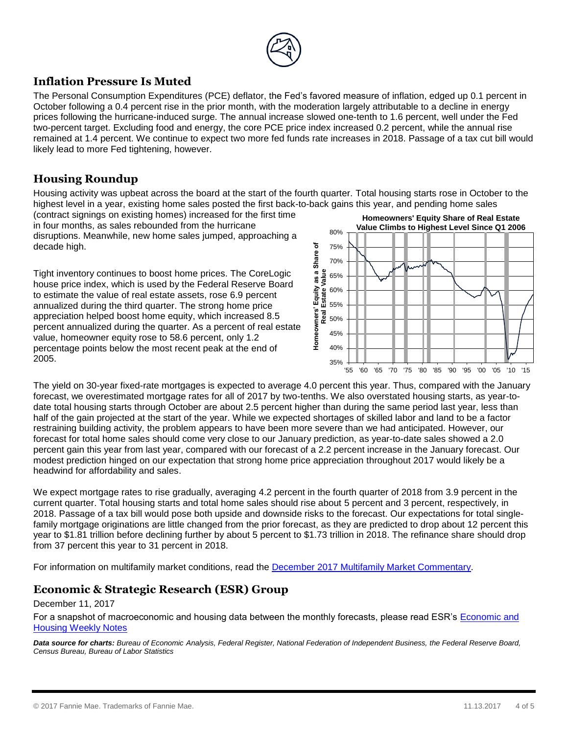

#### **Inflation Pressure Is Muted**

The Personal Consumption Expenditures (PCE) deflator, the Fed's favored measure of inflation, edged up 0.1 percent in October following a 0.4 percent rise in the prior month, with the moderation largely attributable to a decline in energy prices following the hurricane-induced surge. The annual increase slowed one-tenth to 1.6 percent, well under the Fed two-percent target. Excluding food and energy, the core PCE price index increased 0.2 percent, while the annual rise remained at 1.4 percent. We continue to expect two more fed funds rate increases in 2018. Passage of a tax cut bill would likely lead to more Fed tightening, however.

#### **Housing Roundup**

Housing activity was upbeat across the board at the start of the fourth quarter. Total housing starts rose in October to the highest level in a year, existing home sales posted the first back-to-back gains this year, and pending home sales

(contract signings on existing homes) increased for the first time in four months, as sales rebounded from the hurricane disruptions. Meanwhile, new home sales jumped, approaching a decade high.

Tight inventory continues to boost home prices. The CoreLogic house price index, which is used by the Federal Reserve Board to estimate the value of real estate assets, rose 6.9 percent annualized during the third quarter. The strong home price appreciation helped boost home equity, which increased 8.5 percent annualized during the quarter. As a percent of real estate value, homeowner equity rose to 58.6 percent, only 1.2 percentage points below the most recent peak at the end of 2005.



The yield on 30-year fixed-rate mortgages is expected to average 4.0 percent this year. Thus, compared with the January forecast, we overestimated mortgage rates for all of 2017 by two-tenths. We also overstated housing starts, as year-todate total housing starts through October are about 2.5 percent higher than during the same period last year, less than half of the gain projected at the start of the year. While we expected shortages of skilled labor and land to be a factor restraining building activity, the problem appears to have been more severe than we had anticipated. However, our forecast for total home sales should come very close to our January prediction, as year-to-date sales showed a 2.0 percent gain this year from last year, compared with our forecast of a 2.2 percent increase in the January forecast. Our modest prediction hinged on our expectation that strong home price appreciation throughout 2017 would likely be a headwind for affordability and sales.

We expect mortgage rates to rise gradually, averaging 4.2 percent in the fourth quarter of 2018 from 3.9 percent in the current quarter. Total housing starts and total home sales should rise about 5 percent and 3 percent, respectively, in 2018. Passage of a tax bill would pose both upside and downside risks to the forecast. Our expectations for total singlefamily mortgage originations are little changed from the prior forecast, as they are predicted to drop about 12 percent this year to \$1.81 trillion before declining further by about 5 percent to \$1.73 trillion in 2018. The refinance share should drop from 37 percent this year to 31 percent in 2018.

For information on multifamily market conditions, read the December [2017 Multifamily Market Commentary.](http://www.fanniemae.com/resources/file/research/emma/pdf/MF_Market_Commentary_121817.pdf)

#### **Economic & Strategic Research (ESR) Group**

#### December 11, 2017

For a snapshot of macroeconomic and housing data between the monthly forecasts, please read ESR's [Economic and](http://fanniemae.com/portal/research-insights/forecast/weekly-archive.html)  [Housing Weekly Notes](http://fanniemae.com/portal/research-insights/forecast/weekly-archive.html)

*Data source for charts: Bureau of Economic Analysis, Federal Register, National Federation of Independent Business, the Federal Reserve Board, Census Bureau, Bureau of Labor Statistics*